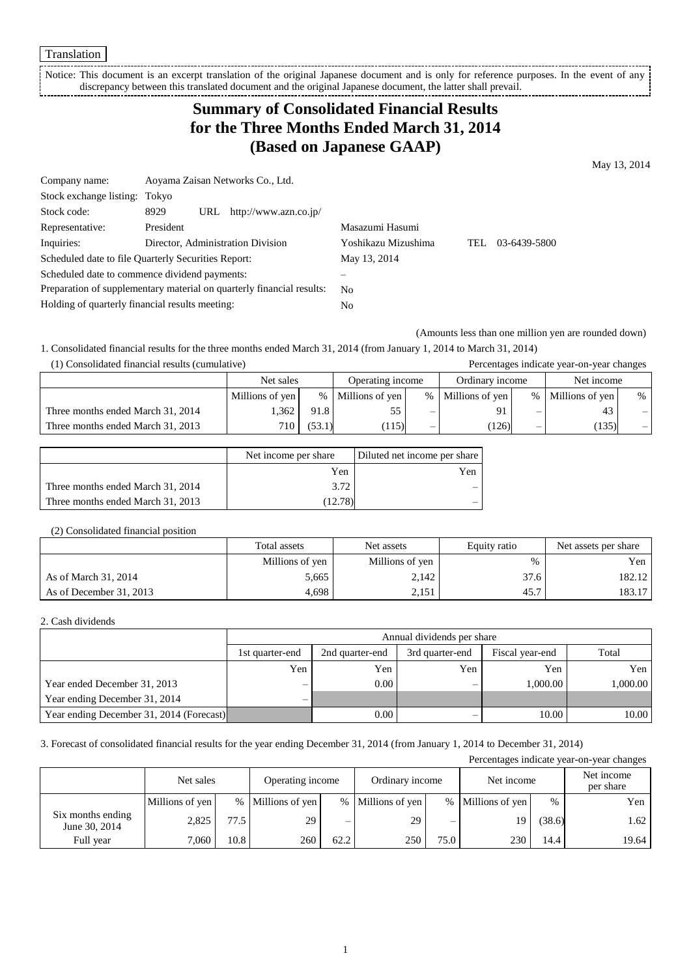Translation

Notice: This document is an excerpt translation of the original Japanese document and is only for reference purposes. In the event of any discrepancy between this translated document and the original Japanese document, the latter shall prevail.

# **Summary of Consolidated Financial Results for the Three Months Ended March 31, 2014 (Based on Japanese GAAP)**

May 13, 2014

| Company name:                                       |             | Aoyama Zaisan Networks Co., Ltd.                                      |                     |     |              |
|-----------------------------------------------------|-------------|-----------------------------------------------------------------------|---------------------|-----|--------------|
| Stock exchange listing: Tokyo                       |             |                                                                       |                     |     |              |
| Stock code:                                         | 8929<br>URL | http://www.azn.co.jp/                                                 |                     |     |              |
| Representative:                                     | President   |                                                                       | Masazumi Hasumi     |     |              |
| Inquiries:                                          |             | Director, Administration Division                                     | Yoshikazu Mizushima | TEL | 03-6439-5800 |
| Scheduled date to file Quarterly Securities Report: |             |                                                                       | May 13, 2014        |     |              |
| Scheduled date to commence dividend payments:       |             |                                                                       |                     |     |              |
|                                                     |             | Preparation of supplementary material on quarterly financial results: | No                  |     |              |
| Holding of quarterly financial results meeting:     |             |                                                                       | No                  |     |              |

(Amounts less than one million yen are rounded down)

1. Consolidated financial results for the three months ended March 31, 2014 (from January 1, 2014 to March 31, 2014) (1) Consolidated financial results (cumulative) Percentages indicate year-on-year changes

|                                   |                  |        |                  |      |                 |      | I executing to multitude from on from emanged |      |
|-----------------------------------|------------------|--------|------------------|------|-----------------|------|-----------------------------------------------|------|
|                                   | Net sales        |        | Operating income |      | Ordinary income |      | Net income                                    |      |
|                                   | Millions of yen  | $\%$   | Millions of yen  | $\%$ | Millions of yen | $\%$ | Millions of yen                               | $\%$ |
| Three months ended March 31, 2014 | .362             | 91.8   |                  | -    | 91              |      |                                               |      |
| Three months ended March 31, 2013 | 710 <sub>1</sub> | (53.1) | 115)             |      | (126)           |      | (135)                                         | $-1$ |

|                                   | Net income per share | Diluted net income per share |
|-----------------------------------|----------------------|------------------------------|
|                                   | Yen                  | Yen                          |
| Three months ended March 31, 2014 | 3.72                 |                              |
| Three months ended March 31, 2013 | (12.78)              |                              |

### (2) Consolidated financial position

|                         | Total assets    | Net assets      | Equity ratio | Net assets per share |
|-------------------------|-----------------|-----------------|--------------|----------------------|
|                         | Millions of yen | Millions of yen | $\%$         | Yen                  |
| As of March 31, 2014    | 5.665           | 2.142           | 37.6         | 182.12               |
| As of December 31, 2013 | 4,698           | 2,151           | 45.7         | 183.17               |

### 2. Cash dividends

|                                          |                          | Annual dividends per share                                     |     |          |          |  |  |  |
|------------------------------------------|--------------------------|----------------------------------------------------------------|-----|----------|----------|--|--|--|
|                                          | 1st quarter-end          | Total<br>Fiscal year-end<br>3rd quarter-end<br>2nd quarter-end |     |          |          |  |  |  |
|                                          | Yen                      | Yen                                                            | Yen | Yen      | Yen      |  |  |  |
| Year ended December 31, 2013             | $\overline{\phantom{m}}$ | 0.00                                                           |     | 1.000.00 | 1.000.00 |  |  |  |
| Year ending December 31, 2014            | $\qquad \qquad -$        |                                                                |     |          |          |  |  |  |
| Year ending December 31, 2014 (Forecast) |                          | $0.00\degree$                                                  |     | 10.00    | 10.00    |  |  |  |

3. Forecast of consolidated financial results for the year ending December 31, 2014 (from January 1, 2014 to December 31, 2014)

Percentages indicate year-on-year changes Net sales Operating income Ordinary income Net income Net income Net income per share Millions of yen % Millions of yen % Millions of yen % Millions of yen % Yen Six months ending  $J_{\text{Mme}}$  30, 2014 2,825 77.5 29 – 29 – 29 – 19 (38.6) 1.62 Full year 7,060 10.8 260 62.2 250 75.0 230 14.4 19.64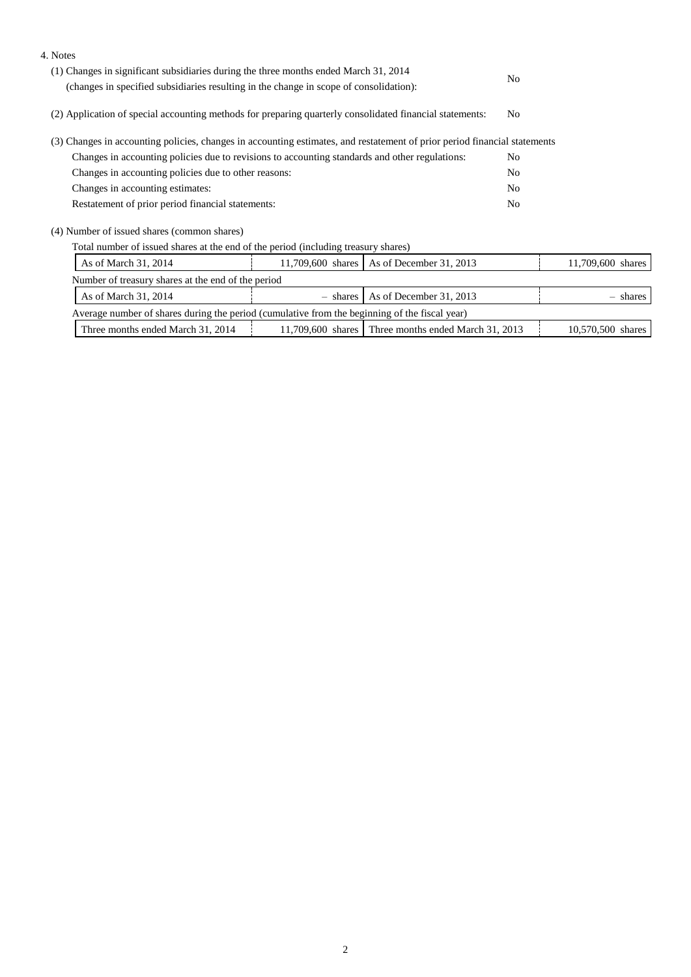| 4. Notes                                                                                                                                                                       |          |                         |                |                   |
|--------------------------------------------------------------------------------------------------------------------------------------------------------------------------------|----------|-------------------------|----------------|-------------------|
| (1) Changes in significant subsidiaries during the three months ended March 31, 2014<br>(changes in specified subsidiaries resulting in the change in scope of consolidation): |          |                         |                |                   |
|                                                                                                                                                                                |          |                         |                |                   |
| (2) Application of special accounting methods for preparing quarterly consolidated financial statements:                                                                       | No       |                         |                |                   |
| (3) Changes in accounting policies, changes in accounting estimates, and restatement of prior period financial statements                                                      |          |                         |                |                   |
| Changes in accounting policies due to revisions to accounting standards and other regulations:                                                                                 |          |                         | N <sub>0</sub> |                   |
| Changes in accounting policies due to other reasons:                                                                                                                           |          |                         |                |                   |
| Changes in accounting estimates:                                                                                                                                               |          |                         |                |                   |
| Restatement of prior period financial statements:                                                                                                                              |          |                         |                |                   |
| (4) Number of issued shares (common shares)                                                                                                                                    |          |                         |                |                   |
| Total number of issued shares at the end of the period (including treasury shares)                                                                                             |          |                         |                |                   |
| As of March 31, 2014<br>11,709,600 shares   As of December 31, 2013                                                                                                            |          |                         |                | 11,709,600 shares |
| Number of treasury shares at the end of the period                                                                                                                             |          |                         |                |                   |
| As of March 31, 2014                                                                                                                                                           | - shares | As of December 31, 2013 |                | shares            |

| Average number of shares during the period (cumulative from the beginning of the fiscal year) |                                   |                  |                                                 |                      |  |
|-----------------------------------------------------------------------------------------------|-----------------------------------|------------------|-------------------------------------------------|----------------------|--|
|                                                                                               | Three months ended March 31, 2014 | 1.709.600 shares | Three months ended March 31.<br>. 201 $\degree$ | 10.570.500<br>shares |  |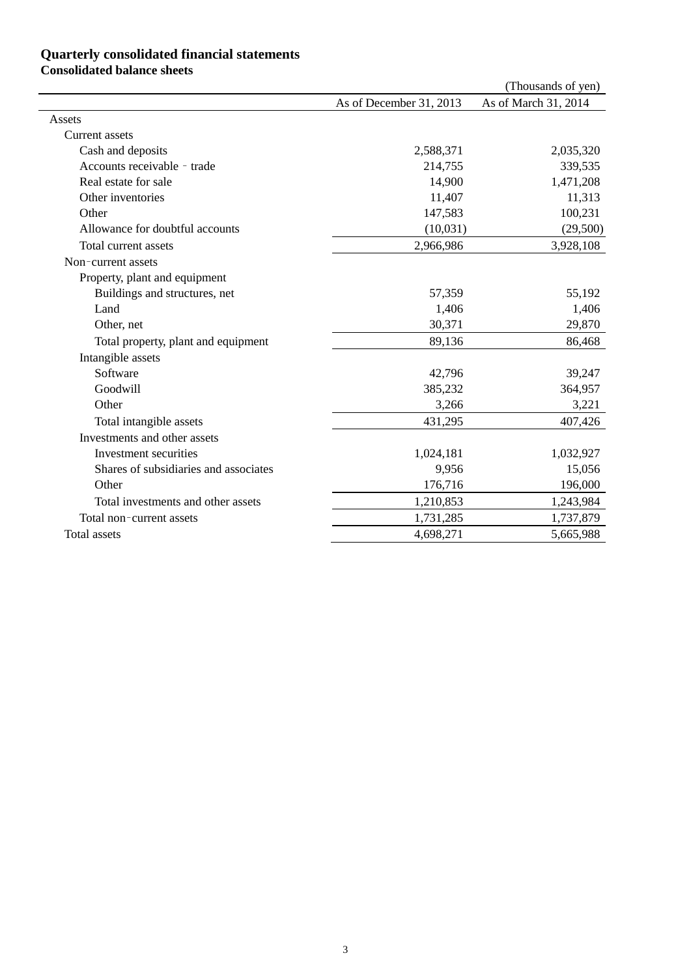### **Quarterly consolidated financial statements**

### **Consolidated balance sheets**

|                                       |                         | (Thousands of yen)   |
|---------------------------------------|-------------------------|----------------------|
|                                       | As of December 31, 2013 | As of March 31, 2014 |
| Assets                                |                         |                      |
| Current assets                        |                         |                      |
| Cash and deposits                     | 2,588,371               | 2,035,320            |
| Accounts receivable - trade           | 214,755                 | 339,535              |
| Real estate for sale                  | 14,900                  | 1,471,208            |
| Other inventories                     | 11,407                  | 11,313               |
| Other                                 | 147,583                 | 100,231              |
| Allowance for doubtful accounts       | (10,031)                | (29,500)             |
| Total current assets                  | 2,966,986               | 3,928,108            |
| Non-current assets                    |                         |                      |
| Property, plant and equipment         |                         |                      |
| Buildings and structures, net         | 57,359                  | 55,192               |
| Land                                  | 1,406                   | 1,406                |
| Other, net                            | 30,371                  | 29,870               |
| Total property, plant and equipment   | 89,136                  | 86,468               |
| Intangible assets                     |                         |                      |
| Software                              | 42,796                  | 39,247               |
| Goodwill                              | 385,232                 | 364,957              |
| Other                                 | 3,266                   | 3,221                |
| Total intangible assets               | 431,295                 | 407,426              |
| Investments and other assets          |                         |                      |
| Investment securities                 | 1,024,181               | 1,032,927            |
| Shares of subsidiaries and associates | 9,956                   | 15,056               |
| Other                                 | 176,716                 | 196,000              |
| Total investments and other assets    | 1,210,853               | 1,243,984            |
| Total non-current assets              | 1,731,285               | 1,737,879            |
| <b>Total</b> assets                   | 4,698,271               | 5,665,988            |
|                                       |                         |                      |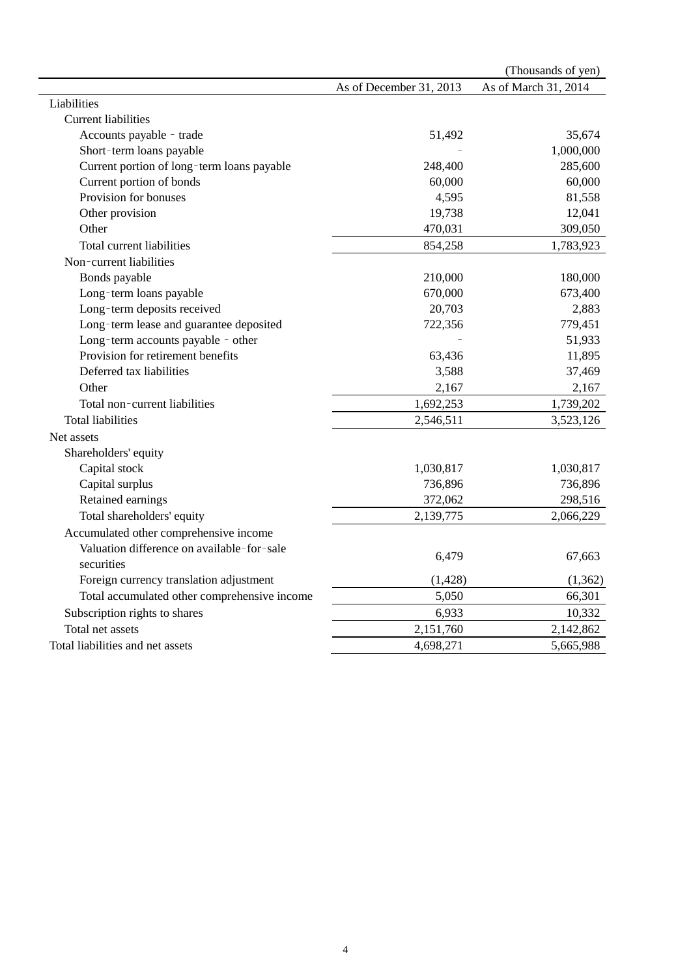|                                              |                         | (Thousands of yen)   |
|----------------------------------------------|-------------------------|----------------------|
|                                              | As of December 31, 2013 | As of March 31, 2014 |
| Liabilities                                  |                         |                      |
| <b>Current liabilities</b>                   |                         |                      |
| Accounts payable - trade                     | 51,492                  | 35,674               |
| Short-term loans payable                     |                         | 1,000,000            |
| Current portion of long-term loans payable   | 248,400                 | 285,600              |
| Current portion of bonds                     | 60,000                  | 60,000               |
| Provision for bonuses                        | 4,595                   | 81,558               |
| Other provision                              | 19,738                  | 12,041               |
| Other                                        | 470,031                 | 309,050              |
| Total current liabilities                    | 854,258                 | 1,783,923            |
| Non-current liabilities                      |                         |                      |
| Bonds payable                                | 210,000                 | 180,000              |
| Long-term loans payable                      | 670,000                 | 673,400              |
| Long-term deposits received                  | 20,703                  | 2,883                |
| Long-term lease and guarantee deposited      | 722,356                 | 779,451              |
| Long-term accounts payable - other           |                         | 51,933               |
| Provision for retirement benefits            | 63,436                  | 11,895               |
| Deferred tax liabilities                     | 3,588                   | 37,469               |
| Other                                        | 2,167                   | 2,167                |
| Total non-current liabilities                | 1,692,253               | 1,739,202            |
| <b>Total liabilities</b>                     | 2,546,511               | 3,523,126            |
| Net assets                                   |                         |                      |
| Shareholders' equity                         |                         |                      |
| Capital stock                                | 1,030,817               | 1,030,817            |
| Capital surplus                              | 736,896                 | 736,896              |
| Retained earnings                            | 372,062                 | 298,516              |
| Total shareholders' equity                   | 2,139,775               | 2,066,229            |
| Accumulated other comprehensive income       |                         |                      |
| Valuation difference on available-for-sale   |                         |                      |
| securities                                   | 6,479                   | 67,663               |
| Foreign currency translation adjustment      | (1, 428)                | (1,362)              |
| Total accumulated other comprehensive income | 5,050                   | 66,301               |
| Subscription rights to shares                | 6,933                   | 10,332               |
| Total net assets                             | 2,151,760               | 2,142,862            |
| Total liabilities and net assets             | 4,698,271               | 5,665,988            |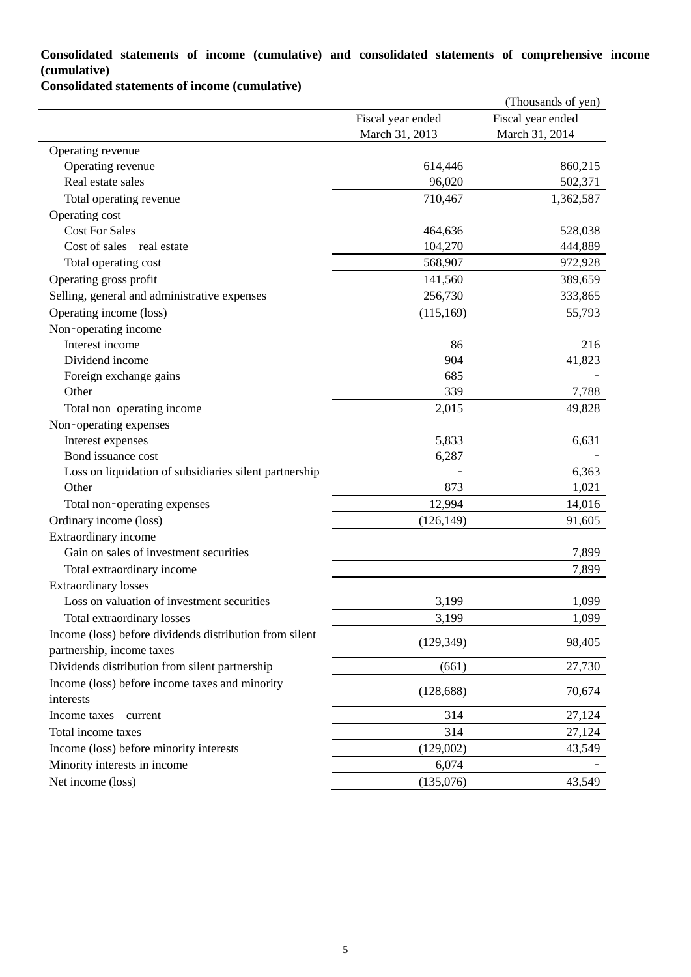# **Consolidated statements of income (cumulative) and consolidated statements of comprehensive income (cumulative)**

**Consolidated statements of income (cumulative)**

|                                                         |                   | (Thousands of yen) |
|---------------------------------------------------------|-------------------|--------------------|
|                                                         | Fiscal year ended | Fiscal year ended  |
|                                                         | March 31, 2013    | March 31, 2014     |
| Operating revenue                                       |                   |                    |
| Operating revenue                                       | 614,446           | 860,215            |
| Real estate sales                                       | 96,020            | 502,371            |
| Total operating revenue                                 | 710,467           | 1,362,587          |
| Operating cost                                          |                   |                    |
| <b>Cost For Sales</b>                                   | 464,636           | 528,038            |
| Cost of sales - real estate                             | 104,270           | 444,889            |
| Total operating cost                                    | 568,907           | 972,928            |
| Operating gross profit                                  | 141,560           | 389,659            |
| Selling, general and administrative expenses            | 256,730           | 333,865            |
| Operating income (loss)                                 | (115, 169)        | 55,793             |
| Non-operating income                                    |                   |                    |
| Interest income                                         | 86                | 216                |
| Dividend income                                         | 904               | 41,823             |
| Foreign exchange gains                                  | 685               |                    |
| Other                                                   | 339               | 7,788              |
| Total non-operating income                              | 2,015             | 49,828             |
| Non-operating expenses                                  |                   |                    |
| Interest expenses                                       | 5,833             | 6,631              |
| Bond issuance cost                                      | 6,287             |                    |
| Loss on liquidation of subsidiaries silent partnership  |                   | 6,363              |
| Other                                                   | 873               | 1,021              |
| Total non-operating expenses                            | 12,994            | 14,016             |
| Ordinary income (loss)                                  | (126, 149)        | 91,605             |
| Extraordinary income                                    |                   |                    |
| Gain on sales of investment securities                  |                   | 7,899              |
| Total extraordinary income                              |                   | 7,899              |
| <b>Extraordinary losses</b>                             |                   |                    |
| Loss on valuation of investment securities              | 3,199             | 1,099              |
| Total extraordinary losses                              | 3,199             | 1,099              |
| Income (loss) before dividends distribution from silent |                   |                    |
| partnership, income taxes                               | (129, 349)        | 98,405             |
| Dividends distribution from silent partnership          | (661)             | 27,730             |
| Income (loss) before income taxes and minority          |                   |                    |
| interests                                               | (128, 688)        | 70,674             |
| Income taxes - current                                  | 314               | 27,124             |
| Total income taxes                                      | 314               | 27,124             |
| Income (loss) before minority interests                 | (129,002)         | 43,549             |
| Minority interests in income                            | 6,074             |                    |
| Net income (loss)                                       | (135,076)         | 43,549             |